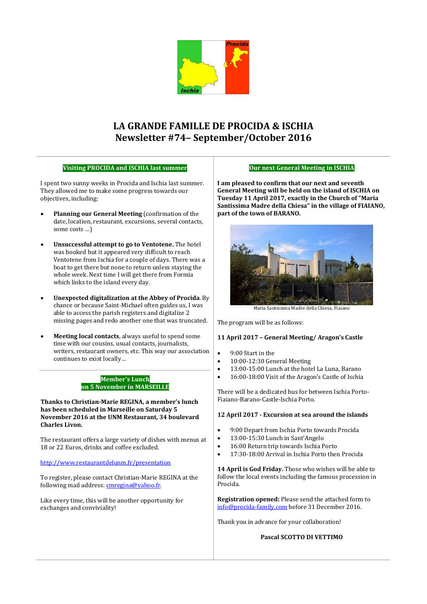

# **LA GRANDE FAMILLE DE PROCIDA & ISCHIA Newsletter #74– September/October 2016**

### **Visiting PROCIDA and ISCHIA last summer**

### **Our next General Meeting in ISCHIA**

I spent two sunny weeks in Procida and Ischia last summer. They allowed me to make some progress towards our objectives, including:

- **Planning our General Meeting** (confirmation of the date, location, restaurant, excursions, several contacts, some costs …)
- **Unsuccessful attempt to go to Ventotene.** The hotel was booked but it appeared very difficult to reach Ventotene from Ischia for a couple of days. There was a boat to get there but none to return unless staying the whole week. Next time I will get there from Formia which links to the island every day.
- **Unexpected digitalization at the Abbey of Procida**. By chance or because Saint-Michael often guides us, I was able to access the parish registers and digitalize 2 missing pages and redo another one that was truncated.
- **Meeting local contacts**, always useful to spend some time with our cousins, usual contacts, journalists, writers, restaurant owners, etc. This way our association continues to exist locally…

# **Member's Lunch on 5 November in MARSEILLE**

**Thanks to Christian-Marie REGINA, a member's lunch has been scheduled in Marseille on Saturday 5 November 2016 at the UNM Restaurant, 34 boulevard Charles Livon.** 

The restaurant offers a large variety of dishes with menus at 18 or 22 Euros, drinks and coffee excluded.

<http://www.restaurantdelunm.fr/presentation>

To register, please contact Christian-Marie REGINA at the following mail address: [cmregina@yahoo.fr.](mailto:cmregina@yahoo.fr)

Like every time, this will be another opportunity for exchanges and conviviality!

**I am pleased to confirm that our next and seventh General Meeting will be held on the island of ISCHIA on Tuesday 11 April 2017, exactly in the Church of "Maria Santissima Madre della Chiesa" in the village of FIAIANO, part of the town of BARANO.** 



Maria Santissima Madre della Chiesa, Fiaiano

The program will be as follows:

### **11 April 2017 – General Meeting/ Aragon's Castle**

- 9:00 Start in the
- 10:00-12:30 General Meeting
- 13:00-15:00 Lunch at the hotel La Luna, Barano
- 16:00-18:00 Visit of the Aragon's Castle of Ischia

There will be a dedicated bus for between Ischia Porto-Fiaiano-Barano-Castle-Ischia Porto.

### **12 April 2017 - Excursion at sea around the islands**

- 9:00 Depart from Ischia Porto towards Procida
- 13:00-15:30 Lunch in Sant'Angelo
- 16:00 Return trip towards Ischia Porto
- 17:30-18:00 Arrival in Ischia Porto then Procida

**14 April is God Friday.** Those who wishes will be able to follow the local events including the famous procession in Procida.

**Registration opened:** Please send the attached form to [info@procida-family.com](mailto:info@procida-family.com) before 31 December 2016.

Thank you in advance for your collaboration!

# **Pascal SCOTTO DI VETTIMO**